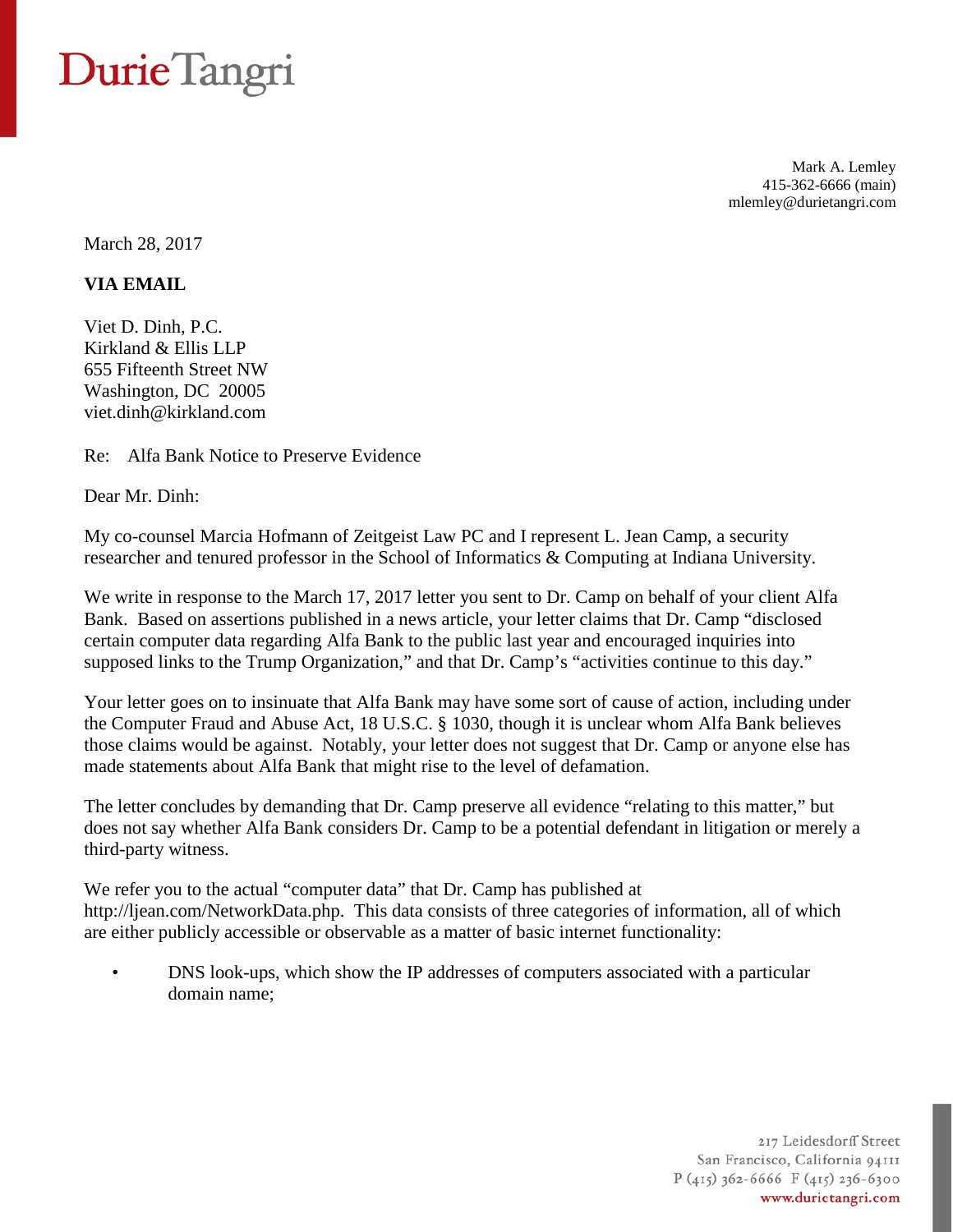## Durie Tangri

Mark A. Lemley 415-362-6666 (main) mlemley@durietangri.com

March 28, 2017

**VIA EMAIL**

Viet D. Dinh, P.C. Kirkland & Ellis LLP 655 Fifteenth Street NW Washington, DC 20005 viet.dinh@kirkland.com

Re: Alfa Bank Notice to Preserve Evidence

Dear Mr. Dinh:

My co-counsel Marcia Hofmann of Zeitgeist Law PC and I represent L. Jean Camp, a security researcher and tenured professor in the School of Informatics & Computing at Indiana University.

We write in response to the March 17, 2017 letter you sent to Dr. Camp on behalf of your client Alfa Bank. Based on assertions published in a news article, your letter claims that Dr. Camp "disclosed certain computer data regarding Alfa Bank to the public last year and encouraged inquiries into supposed links to the Trump Organization," and that Dr. Camp's "activities continue to this day."

Your letter goes on to insinuate that Alfa Bank may have some sort of cause of action, including under the Computer Fraud and Abuse Act, 18 U.S.C. § 1030, though it is unclear whom Alfa Bank believes those claims would be against. Notably, your letter does not suggest that Dr. Camp or anyone else has made statements about Alfa Bank that might rise to the level of defamation.

The letter concludes by demanding that Dr. Camp preserve all evidence "relating to this matter," but does not say whether Alfa Bank considers Dr. Camp to be a potential defendant in litigation or merely a third-party witness.

We refer you to the actual "computer data" that Dr. Camp has published at http://ljean.com/NetworkData.php. This data consists of three categories of information, all of which are either publicly accessible or observable as a matter of basic internet functionality:

• DNS look-ups, which show the IP addresses of computers associated with a particular domain name;

> 217 Leidesdorff Street San Francisco, California 94111  $P(415)$  362-6666 F(415) 236-6300 www.durietangri.com